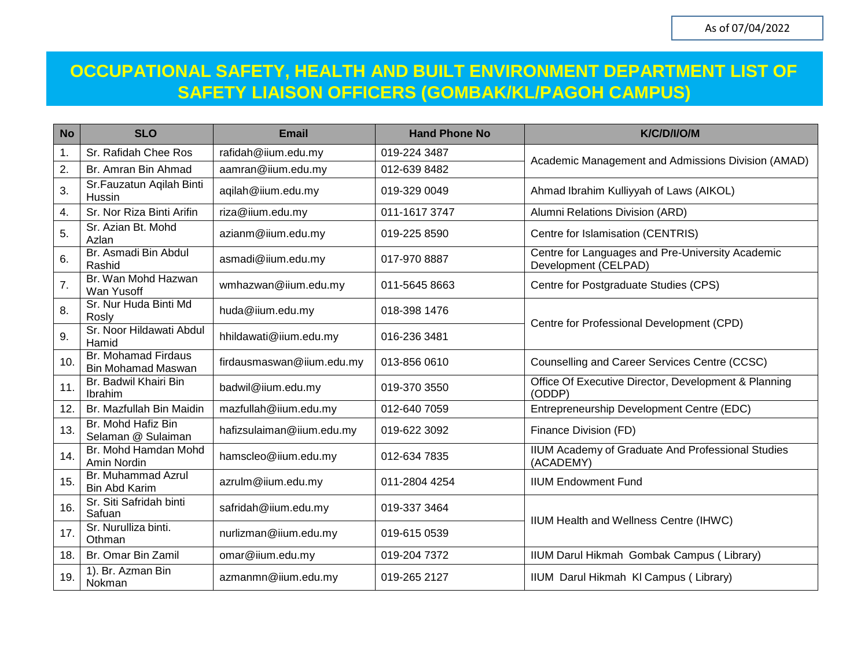## **OCCUPATIONAL SAFETY, HEALTH AND BUILT ENVIRONMENT DEPARTMENT LIST OF SAFETY LIAISON OFFICERS (GOMBAK/KL/PAGOH CAMPUS)**

| <b>No</b>     | <b>SLO</b>                                       | <b>Email</b>              | <b>Hand Phone No</b> | K/C/D/I/O/M                                                              |
|---------------|--------------------------------------------------|---------------------------|----------------------|--------------------------------------------------------------------------|
| $\mathbf 1$ . | Sr. Rafidah Chee Ros                             | rafidah@iium.edu.my       | 019-224 3487         |                                                                          |
| 2.            | Br. Amran Bin Ahmad                              | aamran@iium.edu.my        | 012-639 8482         | Academic Management and Admissions Division (AMAD)                       |
| 3.            | Sr.Fauzatun Aqilah Binti<br>Hussin               | aqilah@iium.edu.my        | 019-329 0049         | Ahmad Ibrahim Kulliyyah of Laws (AIKOL)                                  |
| 4.            | Sr. Nor Riza Binti Arifin                        | riza@iium.edu.my          | 011-1617 3747        | Alumni Relations Division (ARD)                                          |
| 5.            | Sr. Azian Bt. Mohd<br>Azlan                      | azianm@iium.edu.my        | 019-225 8590         | Centre for Islamisation (CENTRIS)                                        |
| 6.            | Br. Asmadi Bin Abdul<br>Rashid                   | asmadi@iium.edu.my        | 017-970 8887         | Centre for Languages and Pre-University Academic<br>Development (CELPAD) |
| 7.            | Br. Wan Mohd Hazwan<br>Wan Yusoff                | wmhazwan@iium.edu.my      | 011-5645 8663        | Centre for Postgraduate Studies (CPS)                                    |
| 8.            | Sr. Nur Huda Binti Md<br>Rosly                   | huda@iium.edu.my          | 018-398 1476         | Centre for Professional Development (CPD)                                |
| 9.            | Sr. Noor Hildawati Abdul<br>Hamid                | hhildawati@iium.edu.my    | 016-236 3481         |                                                                          |
| 10.           | Br. Mohamad Firdaus<br><b>Bin Mohamad Maswan</b> | firdausmaswan@iium.edu.my | 013-856 0610         | Counselling and Career Services Centre (CCSC)                            |
| 11.           | Br. Badwil Khairi Bin<br>Ibrahim                 | badwil@iium.edu.my        | 019-370 3550         | Office Of Executive Director, Development & Planning<br>(ODDP)           |
| 12.           | Br. Mazfullah Bin Maidin                         | mazfullah@iium.edu.my     | 012-640 7059         | Entrepreneurship Development Centre (EDC)                                |
| 13.           | Br. Mohd Hafiz Bin<br>Selaman @ Sulaiman         | hafizsulaiman@iium.edu.my | 019-622 3092         | Finance Division (FD)                                                    |
| 14.           | Br. Mohd Hamdan Mohd<br>Amin Nordin              | hamscleo@iium.edu.my      | 012-634 7835         | IIUM Academy of Graduate And Professional Studies<br>(ACADEMY)           |
| 15.           | Br. Muhammad Azrul<br><b>Bin Abd Karim</b>       | azrulm@iium.edu.my        | 011-2804 4254        | <b>IIUM Endowment Fund</b>                                               |
| 16.           | Sr. Siti Safridah binti<br>Safuan                | safridah@iium.edu.my      | 019-337 3464         | IIUM Health and Wellness Centre (IHWC)                                   |
| 17.           | Sr. Nurulliza binti.<br>Othman                   | nurlizman@iium.edu.my     | 019-615 0539         |                                                                          |
| 18.           | Br. Omar Bin Zamil                               | omar@iium.edu.my          | 019-204 7372         | IIUM Darul Hikmah Gombak Campus (Library)                                |
| 19.           | 1). Br. Azman Bin<br>Nokman                      | azmanmn@iium.edu.my       | 019-265 2127         | IIUM Darul Hikmah KI Campus (Library)                                    |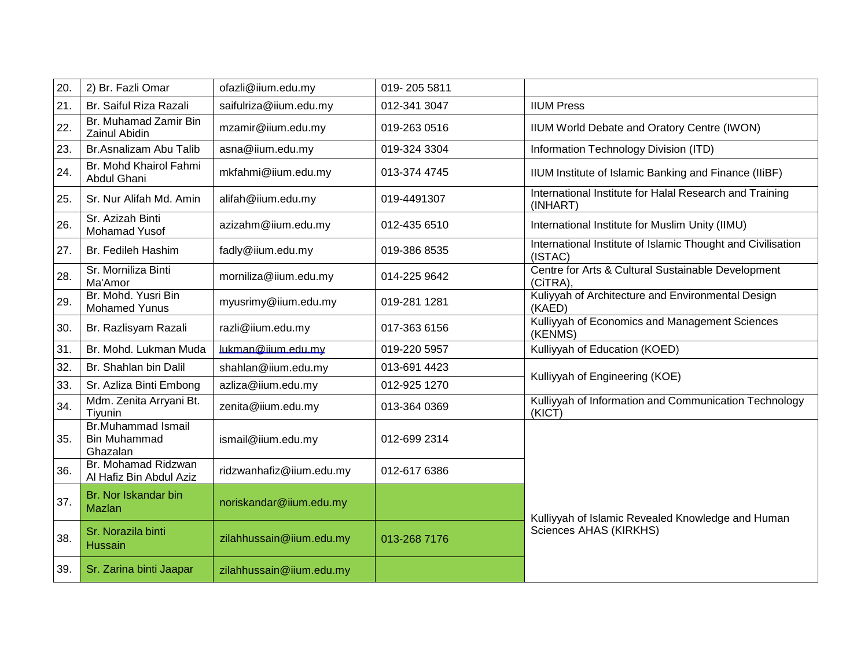| 20. | 2) Br. Fazli Omar                                            | ofazli@iium.edu.my       | 019-205 5811 |                                                                        |
|-----|--------------------------------------------------------------|--------------------------|--------------|------------------------------------------------------------------------|
| 21. | Br. Saiful Riza Razali                                       | saifulriza@iium.edu.my   | 012-341 3047 | <b>IIUM Press</b>                                                      |
| 22. | Br. Muhamad Zamir Bin<br>Zainul Abidin                       | mzamir@iium.edu.my       | 019-263 0516 | IIUM World Debate and Oratory Centre (IWON)                            |
| 23. | Br.Asnalizam Abu Talib                                       | asna@iium.edu.my         | 019-324 3304 | Information Technology Division (ITD)                                  |
| 24. | Br. Mohd Khairol Fahmi<br>Abdul Ghani                        | mkfahmi@iium.edu.my      | 013-374 4745 | IIUM Institute of Islamic Banking and Finance (IIiBF)                  |
| 25. | Sr. Nur Alifah Md. Amin                                      | alifah@iium.edu.my       | 019-4491307  | International Institute for Halal Research and Training<br>(INHART)    |
| 26. | Sr. Azizah Binti<br>Mohamad Yusof                            | azizahm@iium.edu.my      | 012-435 6510 | International Institute for Muslim Unity (IIMU)                        |
| 27. | Br. Fedileh Hashim                                           | fadly@iium.edu.my        | 019-386 8535 | International Institute of Islamic Thought and Civilisation<br>(ISTAC) |
| 28. | Sr. Morniliza Binti<br>Ma'Amor                               | morniliza@iium.edu.my    | 014-225 9642 | Centre for Arts & Cultural Sustainable Development<br>(CiTRA),         |
| 29. | Br. Mohd. Yusri Bin<br><b>Mohamed Yunus</b>                  | myusrimy@iium.edu.my     | 019-281 1281 | Kuliyyah of Architecture and Environmental Design<br>(KAED)            |
| 30. | Br. Razlisyam Razali                                         | razli@iium.edu.my        | 017-363 6156 | Kulliyyah of Economics and Management Sciences<br>(KENMS)              |
| 31. | Br. Mohd. Lukman Muda                                        | lukman@iium.edu.my       | 019-220 5957 | Kulliyyah of Education (KOED)                                          |
| 32. | Br. Shahlan bin Dalil                                        | shahlan@iium.edu.my      | 013-691 4423 | Kulliyyah of Engineering (KOE)                                         |
| 33. | Sr. Azliza Binti Embong                                      | azliza@iium.edu.my       | 012-925 1270 |                                                                        |
| 34. | Mdm. Zenita Arryani Bt.<br>Tiyunin                           | zenita@iium.edu.my       | 013-364 0369 | Kulliyyah of Information and Communication Technology<br>(KICT)        |
| 35. | <b>Br.Muhammad Ismail</b><br><b>Bin Muhammad</b><br>Ghazalan | ismail@iium.edu.my       | 012-699 2314 |                                                                        |
| 36. | Br. Mohamad Ridzwan<br>Al Hafiz Bin Abdul Aziz               | ridzwanhafiz@iium.edu.my | 012-617 6386 |                                                                        |
| 37. | Br. Nor Iskandar bin<br>Mazlan                               | noriskandar@iium.edu.my  |              | Kulliyyah of Islamic Revealed Knowledge and Human                      |
| 38. | Sr. Norazila binti<br><b>Hussain</b>                         | zilahhussain@iium.edu.my | 013-268 7176 | Sciences AHAS (KIRKHS)                                                 |
| 39. | Sr. Zarina binti Jaapar                                      | zilahhussain@iium.edu.my |              |                                                                        |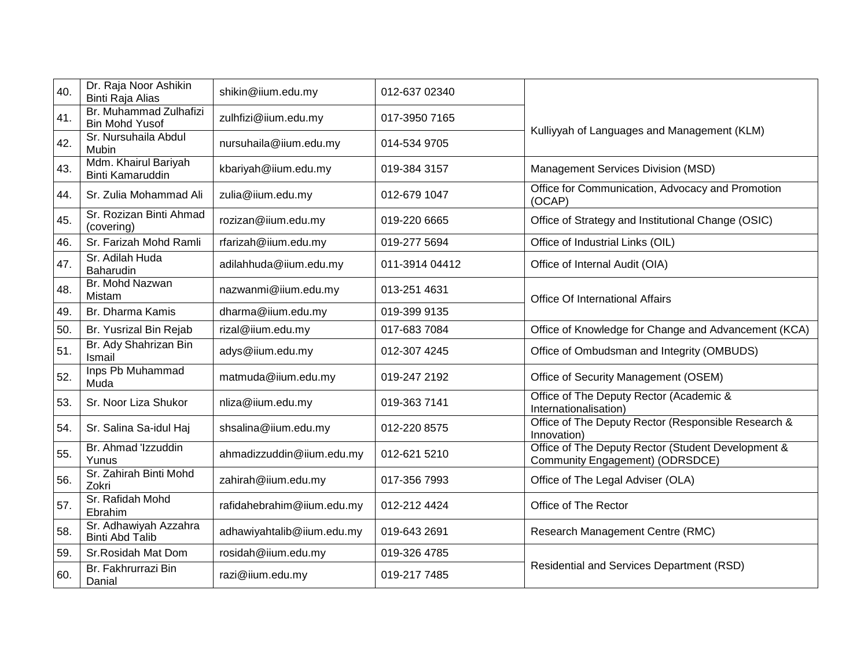| 40. | Dr. Raja Noor Ashikin<br>Binti Raja Alias       | shikin@iium.edu.my         | 012-637 02340  |                                                                                       |
|-----|-------------------------------------------------|----------------------------|----------------|---------------------------------------------------------------------------------------|
| 41. | Br. Muhammad Zulhafizi<br><b>Bin Mohd Yusof</b> | zulhfizi@iium.edu.my       | 017-3950 7165  |                                                                                       |
| 42. | Sr. Nursuhaila Abdul<br><b>Mubin</b>            | nursuhaila@iium.edu.my     | 014-534 9705   | Kulliyyah of Languages and Management (KLM)                                           |
| 43. | Mdm. Khairul Bariyah<br><b>Binti Kamaruddin</b> | kbariyah@iium.edu.my       | 019-384 3157   | Management Services Division (MSD)                                                    |
| 44. | Sr. Zulia Mohammad Ali                          | zulia@iium.edu.my          | 012-679 1047   | Office for Communication, Advocacy and Promotion<br>(OCAP)                            |
| 45. | Sr. Rozizan Binti Ahmad<br>(covering)           | rozizan@iium.edu.my        | 019-220 6665   | Office of Strategy and Institutional Change (OSIC)                                    |
| 46. | Sr. Farizah Mohd Ramli                          | rfarizah@iium.edu.my       | 019-277 5694   | Office of Industrial Links (OIL)                                                      |
| 47. | Sr. Adilah Huda<br>Baharudin                    | adilahhuda@iium.edu.my     | 011-3914 04412 | Office of Internal Audit (OIA)                                                        |
| 48. | Br. Mohd Nazwan<br>Mistam                       | nazwanmi@iium.edu.my       | 013-251 4631   | Office Of International Affairs                                                       |
| 49. | Br. Dharma Kamis                                | dharma@iium.edu.my         | 019-399 9135   |                                                                                       |
| 50. | Br. Yusrizal Bin Rejab                          | rizal@iium.edu.my          | 017-683 7084   | Office of Knowledge for Change and Advancement (KCA)                                  |
| 51. | Br. Ady Shahrizan Bin<br>Ismail                 | adys@iium.edu.my           | 012-307 4245   | Office of Ombudsman and Integrity (OMBUDS)                                            |
| 52. | Inps Pb Muhammad<br>Muda                        | matmuda@iium.edu.my        | 019-247 2192   | Office of Security Management (OSEM)                                                  |
| 53. | Sr. Noor Liza Shukor                            | nliza@iium.edu.my          | 019-363 7141   | Office of The Deputy Rector (Academic &<br>Internationalisation)                      |
| 54. | Sr. Salina Sa-idul Haj                          | shsalina@iium.edu.my       | 012-220 8575   | Office of The Deputy Rector (Responsible Research &<br>Innovation)                    |
| 55. | Br. Ahmad 'Izzuddin<br>Yunus                    | ahmadizzuddin@iium.edu.my  | 012-621 5210   | Office of The Deputy Rector (Student Development &<br>Community Engagement) (ODRSDCE) |
| 56. | Sr. Zahirah Binti Mohd<br>Zokri                 | zahirah@iium.edu.my        | 017-356 7993   | Office of The Legal Adviser (OLA)                                                     |
| 57. | Sr. Rafidah Mohd<br>Ebrahim                     | rafidahebrahim@iium.edu.my | 012-212 4424   | Office of The Rector                                                                  |
| 58. | Sr. Adhawiyah Azzahra<br><b>Binti Abd Talib</b> | adhawiyahtalib@iium.edu.my | 019-643 2691   | Research Management Centre (RMC)                                                      |
| 59. | Sr.Rosidah Mat Dom                              | rosidah@iium.edu.my        | 019-326 4785   |                                                                                       |
| 60. | Br. Fakhrurrazi Bin<br>Danial                   | razi@iium.edu.my           | 019-217 7485   | Residential and Services Department (RSD)                                             |